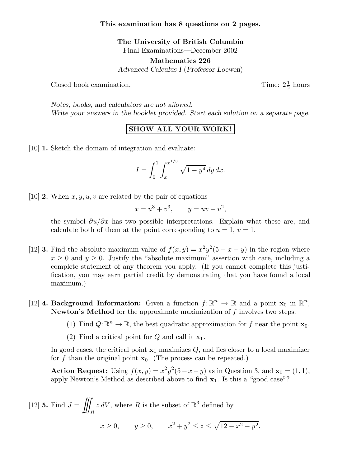## **This examination has 8 questions on 2 pages.**

**The University of British Columbia** Final Examinations—December 2002

**Mathematics 226** *Advanced Calculus I* (*Professor Loewen*)

Closed book examination.

Time:  $2\frac{1}{2}$  hours

*Notes, books, and calculators are not allowed. Write your answers in the booklet provided. Start each solution on a separate page.*

## **SHOW ALL YOUR WORK!**

[10] **1.** Sketch the domain of integration and evaluate:

$$
I = \int_0^1 \int_x^{x^{1/3}} \sqrt{1 - y^4} \, dy \, dx.
$$

[10] **2.** When  $x, y, u, v$  are related by the pair of equations

$$
x = u3 + v3, \qquad y = uv - v2,
$$

the symbol  $\partial u/\partial x$  has two possible interpretations. Explain what these are, and calculate both of them at the point corresponding to  $u = 1$ ,  $v = 1$ .

- [12] **3.** Find the absolute maximum value of  $f(x, y) = x^2y^2(5 x y)$  in the region where  $x \geq 0$  and  $y \geq 0$ . Justify the "absolute maximum" assertion with care, including a complete statement of any theorem you apply. (If you cannot complete this justification, you may earn partial credit by demonstrating that you have found a local maximum.)
- [12] **4. Background Information:** Given a function  $f: \mathbb{R}^n \to \mathbb{R}$  and a point  $\mathbf{x}_0$  in  $\mathbb{R}^n$ , **Newton's Method** for the approximate maximization of f involves two steps:
	- (1) Find  $Q: \mathbb{R}^n \to \mathbb{R}$ , the best quadratic approximation for f near the point  $\mathbf{x}_0$ .
	- (2) Find a critical point for Q and call it **x**1.

In good cases, the critical point  $x_1$  maximizes  $Q$ , and lies closer to a local maximizer for f than the original point  $\mathbf{x}_0$ . (The process can be repeated.)

**Action Request:** Using  $f(x, y) = x^2y^2(5-x-y)$  as in Question 3, and  $\mathbf{x}_0 = (1, 1)$ , apply Newton's Method as described above to find **x**1. Is this a "good case"?

 $[12]$  **5.** Find  $J =$  $\hat{H}$ R  $z dV$ , where R is the subset of  $\mathbb{R}^3$  defined by  $x \ge 0$ ,  $y \ge 0$ ,  $x^2 + y^2 \le z \le \sqrt{12 - x^2 - y^2}$ .